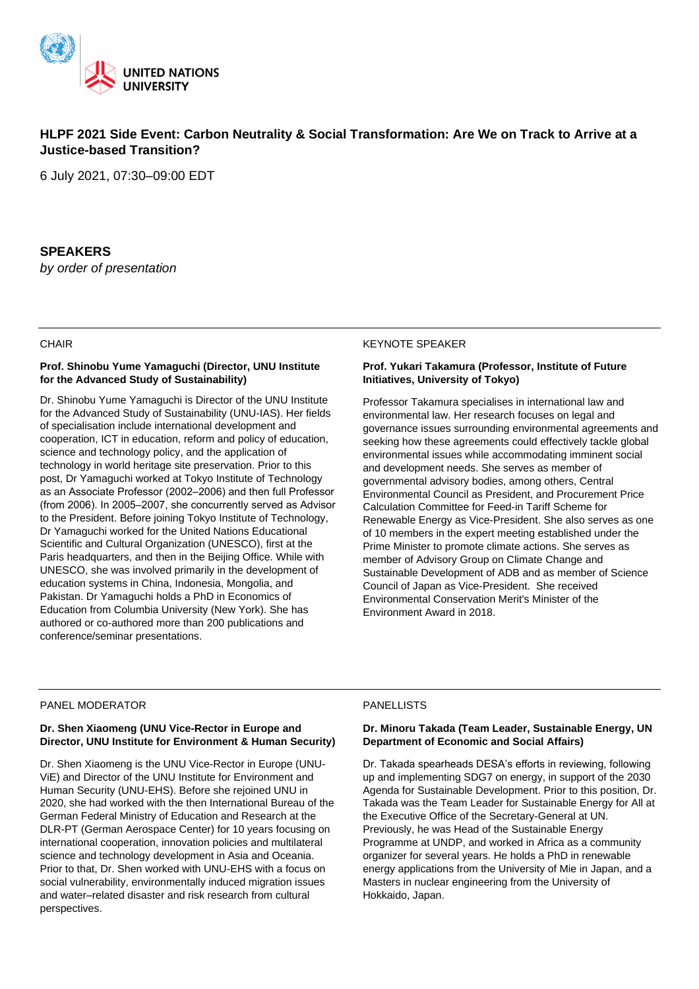

# **HLPF 2021 Side Event: Carbon Neutrality & Social Transformation: Are We on Track to Arrive at a Justice-based Transition?**

6 July 2021, 07:30–09:00 EDT

# **SPEAKERS**

*by order of presentation*

## **CHAIR**

#### **Prof. Shinobu Yume Yamaguchi (Director, UNU Institute for the Advanced Study of Sustainability)**

Dr. Shinobu Yume Yamaguchi is Director of the UNU Institute for the Advanced Study of Sustainability (UNU-IAS). Her fields of specialisation include international development and cooperation, ICT in education, reform and policy of education, science and technology policy, and the application of technology in world heritage site preservation. Prior to this post, Dr Yamaguchi worked at Tokyo Institute of Technology as an Associate Professor (2002-2006) and then full Professor (from 2006). In 2005-2007, she concurrently served as Advisor to the President. Before joining Tokyo Institute of Technology, Dr Yamaguchi worked for the United Nations Educational Scientific and Cultural Organization (UNESCO), first at the Paris headquarters, and then in the Beijing Office. While with UNESCO, she was involved primarily in the development of education systems in China, Indonesia, Mongolia, and Pakistan. Dr Yamaguchi holds a PhD in Economics of Education from Columbia University (New York). She has authored or co-authored more than 200 publications and conference/seminar presentations.

#### KEYNOTE SPEAKER

### **Prof. Yukari Takamura (Professor, Institute of Future Initiatives, University of Tokyo)**

Professor Takamura specialises in international law and environmental law. Her research focuses on legal and governance issues surrounding environmental agreements and seeking how these agreements could effectively tackle global environmental issues while accommodating imminent social and development needs. She serves as member of governmental advisory bodies, among others, Central Environmental Council as President, and Procurement Price Calculation Committee for Feed-in Tariff Scheme for Renewable Energy as Vice-President. She also serves as one of 10 members in the expert meeting established under the Prime Minister to promote climate actions. She serves as member of Advisory Group on Climate Change and Sustainable Development of ADB and as member of Science Council of Japan as Vice-President. She received Environmental Conservation Merit's Minister of the Environment Award in 2018.

# PANEL MODERATOR

## **Dr. Shen Xiaomeng (UNU Vice-Rector in Europe and Director, UNU Institute for Environment & Human Security)**

Dr. Shen Xiaomeng is the UNU Vice-Rector in Europe (UNU-ViE) and Director of the UNU Institute for Environment and Human Security (UNU-EHS). Before she rejoined UNU in 2020, she had worked with the then International Bureau of the German Federal Ministry of Education and Research at the DLR-PT (German Aerospace Center) for 10 years focusing on international cooperation, innovation policies and multilateral science and technology development in Asia and Oceania. Prior to that, Dr. Shen worked with UNU-EHS with a focus on social vulnerability, environmentally induced migration issues and water–related disaster and risk research from cultural perspectives.

# PANELLISTS

#### **Dr. Minoru Takada (Team Leader, Sustainable Energy, UN Department of Economic and Social Affairs)**

Dr. Takada spearheads DESA's efforts in reviewing, following up and implementing SDG7 on energy, in support of the 2030 Agenda for Sustainable Development. Prior to this position, Dr. Takada was the Team Leader for Sustainable Energy for All at the Executive Office of the Secretary-General at UN. Previously, he was Head of the Sustainable Energy Programme at UNDP, and worked in Africa as a community organizer for several years. He holds a PhD in renewable energy applications from the University of Mie in Japan, and a Masters in nuclear engineering from the University of Hokkaido, Japan.